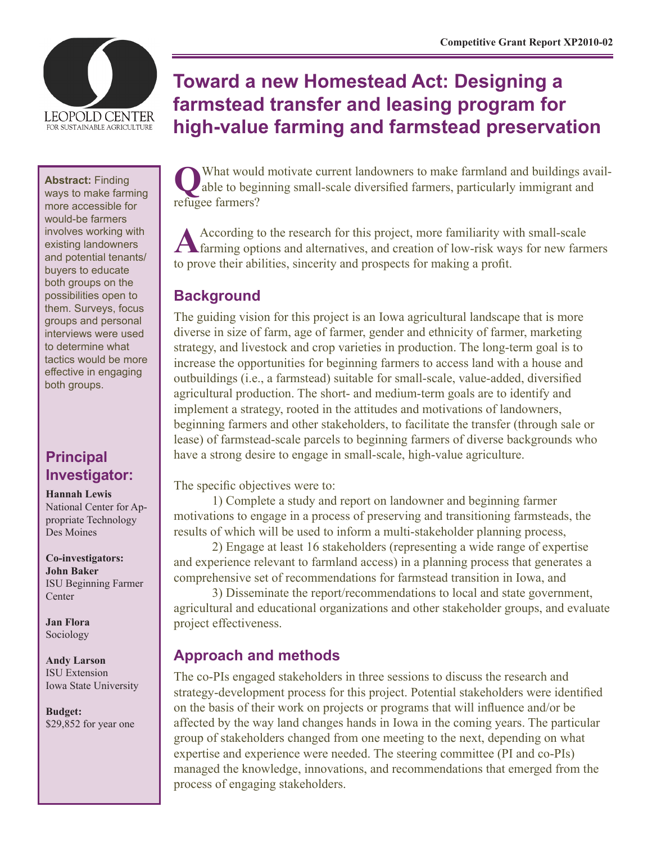

#### **Abstract:** Finding

ways to make farming more accessible for would-be farmers involves working with existing landowners and potential tenants/ buyers to educate both groups on the possibilities open to them. Surveys, focus groups and personal interviews were used to determine what tactics would be more effective in engaging both groups.

# **Principal Investigator:**

**Hannah Lewis**

National Center for Appropriate Technology Des Moines

**Co-investigators: John Baker** ISU Beginning Farmer Center

**Jan Flora** Sociology

**Andy Larson** ISU Extension Iowa State University

**Budget:** \$29,852 for year one

# **Toward a new Homestead Act: Designing a farmstead transfer and leasing program for high-value farming and farmstead preservation**

What would motivate current landowners to make farmland and buildings available to beginning small-scale diversified farmers, particularly immigrant and refugee farmers?

According to the research for this project, more familiarity with small-scale farming options and alternatives, and creation of low-risk ways for new farmers to prove their abilities, sincerity and prospects for making a profit.

# **Background**

The guiding vision for this project is an Iowa agricultural landscape that is more diverse in size of farm, age of farmer, gender and ethnicity of farmer, marketing strategy, and livestock and crop varieties in production. The long-term goal is to increase the opportunities for beginning farmers to access land with a house and outbuildings (i.e., a farmstead) suitable for small-scale, value-added, diversified agricultural production. The short- and medium-term goals are to identify and implement a strategy, rooted in the attitudes and motivations of landowners, beginning farmers and other stakeholders, to facilitate the transfer (through sale or lease) of farmstead-scale parcels to beginning farmers of diverse backgrounds who have a strong desire to engage in small-scale, high-value agriculture.

The specific objectives were to:

1) Complete a study and report on landowner and beginning farmer motivations to engage in a process of preserving and transitioning farmsteads, the results of which will be used to inform a multi-stakeholder planning process,

2) Engage at least 16 stakeholders (representing a wide range of expertise and experience relevant to farmland access) in a planning process that generates a comprehensive set of recommendations for farmstead transition in Iowa, and

3) Disseminate the report/recommendations to local and state government, agricultural and educational organizations and other stakeholder groups, and evaluate project effectiveness.

# **Approach and methods**

The co-PIs engaged stakeholders in three sessions to discuss the research and strategy-development process for this project. Potential stakeholders were identified on the basis of their work on projects or programs that will influence and/or be affected by the way land changes hands in Iowa in the coming years. The particular group of stakeholders changed from one meeting to the next, depending on what expertise and experience were needed. The steering committee (PI and co-PIs) managed the knowledge, innovations, and recommendations that emerged from the process of engaging stakeholders.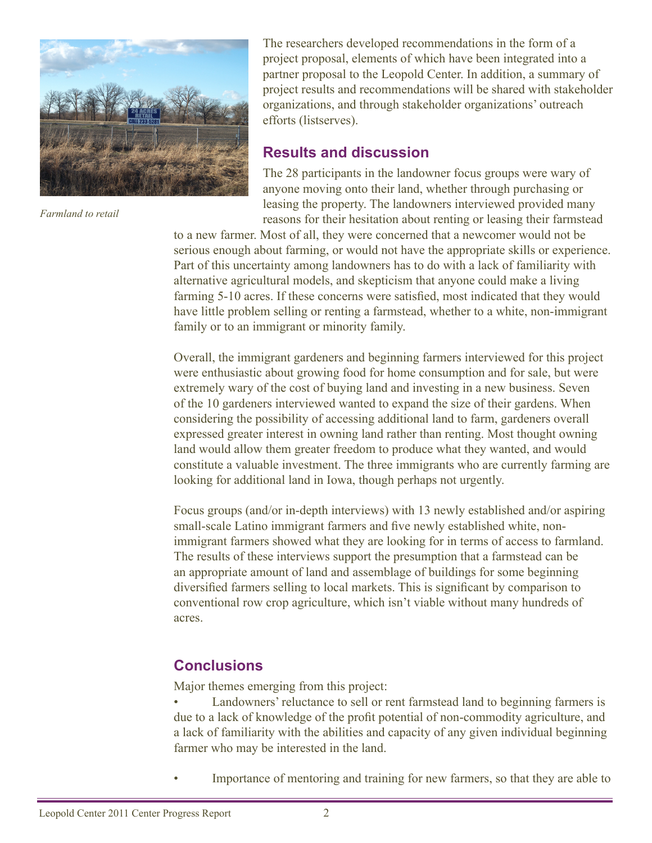

*Farmland to retail*

The researchers developed recommendations in the form of a project proposal, elements of which have been integrated into a partner proposal to the Leopold Center. In addition, a summary of project results and recommendations will be shared with stakeholder organizations, and through stakeholder organizations' outreach efforts (listserves).

### **Results and discussion**

The 28 participants in the landowner focus groups were wary of anyone moving onto their land, whether through purchasing or leasing the property. The landowners interviewed provided many reasons for their hesitation about renting or leasing their farmstead

to a new farmer. Most of all, they were concerned that a newcomer would not be serious enough about farming, or would not have the appropriate skills or experience. Part of this uncertainty among landowners has to do with a lack of familiarity with alternative agricultural models, and skepticism that anyone could make a living farming 5-10 acres. If these concerns were satisfied, most indicated that they would have little problem selling or renting a farmstead, whether to a white, non-immigrant family or to an immigrant or minority family.

Overall, the immigrant gardeners and beginning farmers interviewed for this project were enthusiastic about growing food for home consumption and for sale, but were extremely wary of the cost of buying land and investing in a new business. Seven of the 10 gardeners interviewed wanted to expand the size of their gardens. When considering the possibility of accessing additional land to farm, gardeners overall expressed greater interest in owning land rather than renting. Most thought owning land would allow them greater freedom to produce what they wanted, and would constitute a valuable investment. The three immigrants who are currently farming are looking for additional land in Iowa, though perhaps not urgently.

Focus groups (and/or in-depth interviews) with 13 newly established and/or aspiring small-scale Latino immigrant farmers and five newly established white, nonimmigrant farmers showed what they are looking for in terms of access to farmland. The results of these interviews support the presumption that a farmstead can be an appropriate amount of land and assemblage of buildings for some beginning diversified farmers selling to local markets. This is significant by comparison to conventional row crop agriculture, which isn't viable without many hundreds of acres.

# **Conclusions**

Major themes emerging from this project:

Landowners' reluctance to sell or rent farmstead land to beginning farmers is due to a lack of knowledge of the profit potential of non-commodity agriculture, and a lack of familiarity with the abilities and capacity of any given individual beginning farmer who may be interested in the land.

Importance of mentoring and training for new farmers, so that they are able to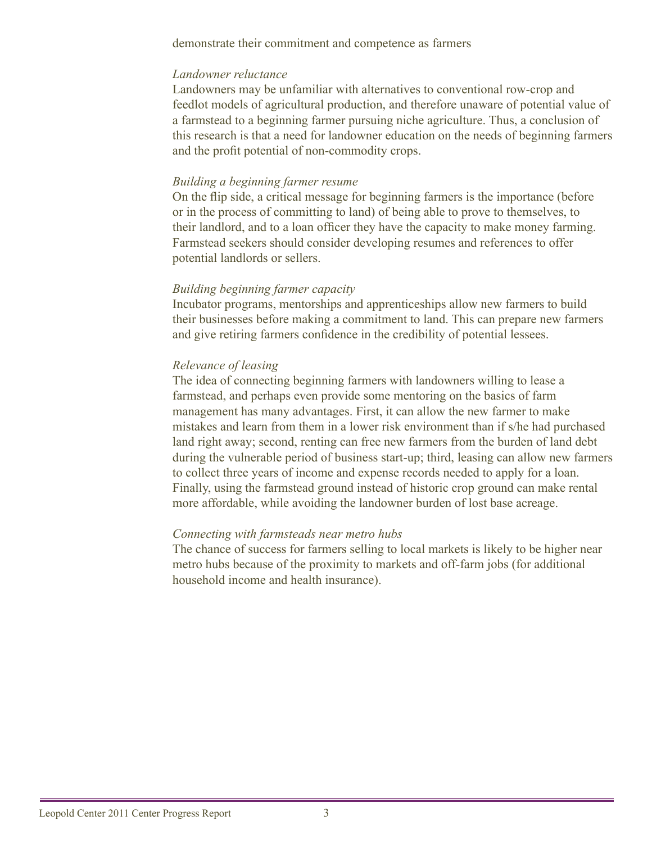demonstrate their commitment and competence as farmers

#### *Landowner reluctance*

Landowners may be unfamiliar with alternatives to conventional row-crop and feedlot models of agricultural production, and therefore unaware of potential value of a farmstead to a beginning farmer pursuing niche agriculture. Thus, a conclusion of this research is that a need for landowner education on the needs of beginning farmers and the profit potential of non-commodity crops.

#### *Building a beginning farmer resume*

On the flip side, a critical message for beginning farmers is the importance (before or in the process of committing to land) of being able to prove to themselves, to their landlord, and to a loan officer they have the capacity to make money farming. Farmstead seekers should consider developing resumes and references to offer potential landlords or sellers.

#### *Building beginning farmer capacity*

Incubator programs, mentorships and apprenticeships allow new farmers to build their businesses before making a commitment to land. This can prepare new farmers and give retiring farmers confidence in the credibility of potential lessees.

#### *Relevance of leasing*

The idea of connecting beginning farmers with landowners willing to lease a farmstead, and perhaps even provide some mentoring on the basics of farm management has many advantages. First, it can allow the new farmer to make mistakes and learn from them in a lower risk environment than if s/he had purchased land right away; second, renting can free new farmers from the burden of land debt during the vulnerable period of business start-up; third, leasing can allow new farmers to collect three years of income and expense records needed to apply for a loan. Finally, using the farmstead ground instead of historic crop ground can make rental more affordable, while avoiding the landowner burden of lost base acreage.

#### *Connecting with farmsteads near metro hubs*

The chance of success for farmers selling to local markets is likely to be higher near metro hubs because of the proximity to markets and off-farm jobs (for additional household income and health insurance).